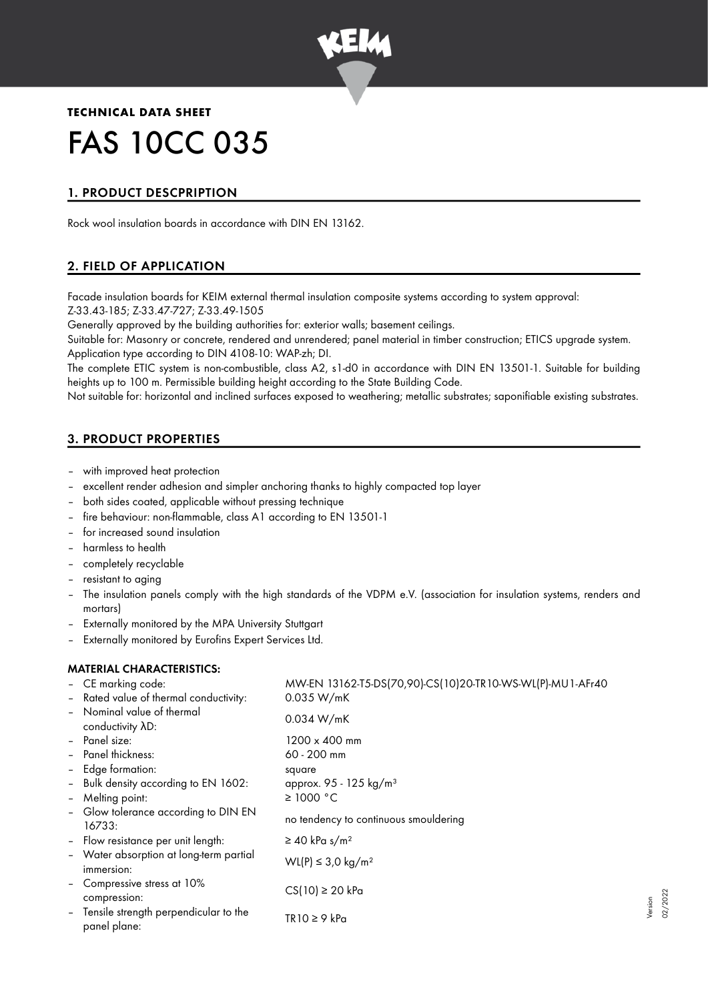

# **TECHNICAL DATA SHEET** FAS 10CC 035

# 1. PRODUCT DESCPRIPTION

Rock wool insulation boards in accordance with DIN EN 13162.

# 2. FIELD OF APPLICATION

Facade insulation boards for KEIM external thermal insulation composite systems according to system approval: Z-33.43-185; Z-33.47-727; Z-33.49-1505

Generally approved by the building authorities for: exterior walls; basement ceilings.

Suitable for: Masonry or concrete, rendered and unrendered; panel material in timber construction; ETICS upgrade system. Application type according to DIN 4108-10: WAP-zh; DI.

The complete ETIC system is non-combustible, class A2, s1-d0 in accordance with DIN EN 13501-1. Suitable for building heights up to 100 m. Permissible building height according to the State Building Code.

Not suitable for: horizontal and inclined surfaces exposed to weathering; metallic substrates; saponifiable existing substrates.

# 3. PRODUCT PROPERTIES

- with improved heat protection
- excellent render adhesion and simpler anchoring thanks to highly compacted top layer
- both sides coated, applicable without pressing technique
- fire behaviour: non-flammable, class A1 according to EN 13501-1
- for increased sound insulation
- harmless to health
- completely recyclable
- resistant to aging
- The insulation panels comply with the high standards of the VDPM e.V. (association for insulation systems, renders and mortars)
- Externally monitored by the MPA University Stuttgart
- Externally monitored by Eurofins Expert Services Ltd.

## MATERIAL CHARACTERISTICS:

|                          | - CE marking code:                                       | MW-EN 13162-T5-DS(70,90)-CS(10)20-TR10-WS-WL(P)-MU1-AFr40 |
|--------------------------|----------------------------------------------------------|-----------------------------------------------------------|
|                          | - Rated value of thermal conductivity:                   | 0.035 W/mK                                                |
|                          | - Nominal value of thermal<br>conductivity $\lambda D$ : | 0.034 W/mK                                                |
|                          | - Panel size:                                            | $1200 \times 400$ mm                                      |
| $\overline{\phantom{a}}$ | Panel thickness:                                         | 60 - 200 mm                                               |
|                          | - Edge formation:                                        | square                                                    |
|                          | - Bulk density according to EN 1602:                     | approx. 95 - 125 kg/m <sup>3</sup>                        |
| $\qquad \qquad -$        | Melting point:                                           | $\geq$ 1000 °C                                            |
|                          | - Glow tolerance according to DIN EN<br>16733:           | no tendency to continuous smouldering                     |
|                          | - Flow resistance per unit length:                       | $\geq$ 40 kPa s/m <sup>2</sup>                            |
|                          | - Water absorption at long-term partial<br>immersion:    | WL(P) ≤ 3,0 kg/m <sup>2</sup>                             |
| $\overline{\phantom{a}}$ | Compressive stress at 10%<br>compression:                | $CS(10) \ge 20$ kPa                                       |
|                          | - Tensile strength perpendicular to the<br>panel plane:  | TR 10 ≥ 9 kPa                                             |

Version 02/2022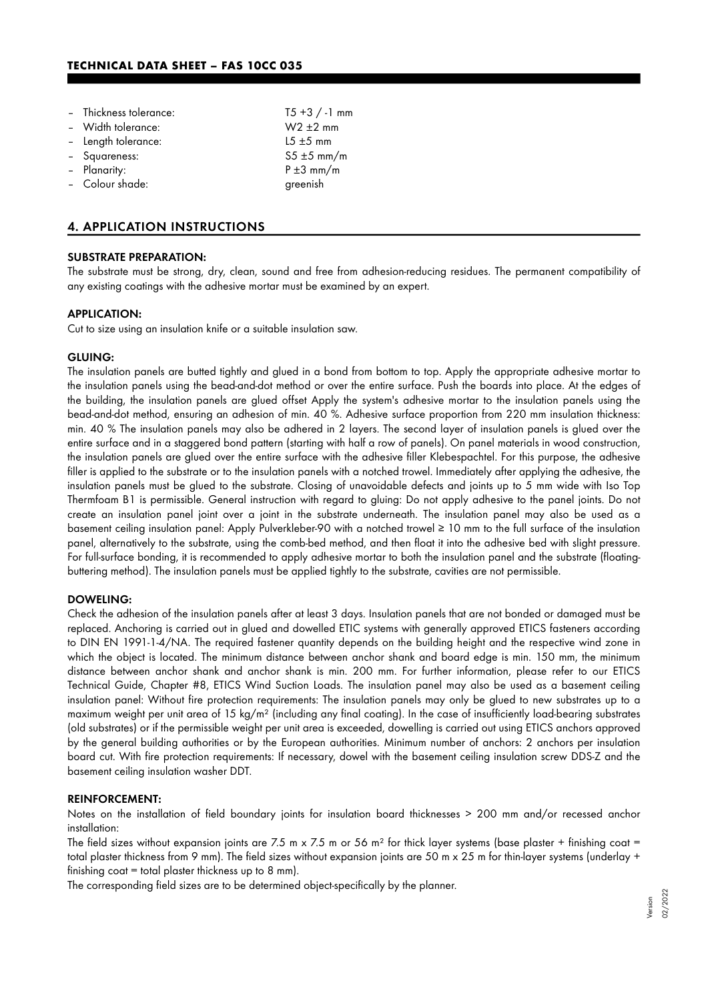| - Thickness tolerance:<br>- Width tolerance: | $T5 + 3 / -1$ mm<br>$W2 \pm 2$ mm |
|----------------------------------------------|-----------------------------------|
| - Length tolerance:                          | $15 \pm 5$ mm                     |
| - Squareness:                                | $55 \pm 5$ mm/m                   |
| - Planarity:                                 | $P \pm 3$ mm/m                    |
| - Colour shade:                              | greenish                          |

## 4. APPLICATION INSTRUCTIONS

#### SUBSTRATE PREPARATION:

The substrate must be strong, dry, clean, sound and free from adhesion-reducing residues. The permanent compatibility of any existing coatings with the adhesive mortar must be examined by an expert.

#### APPLICATION:

Cut to size using an insulation knife or a suitable insulation saw.

#### GLUING:

The insulation panels are butted tightly and glued in a bond from bottom to top. Apply the appropriate adhesive mortar to the insulation panels using the bead-and-dot method or over the entire surface. Push the boards into place. At the edges of the building, the insulation panels are glued offset Apply the system's adhesive mortar to the insulation panels using the bead-and-dot method, ensuring an adhesion of min. 40 %. Adhesive surface proportion from 220 mm insulation thickness: min. 40 % The insulation panels may also be adhered in 2 layers. The second layer of insulation panels is glued over the entire surface and in a staggered bond pattern (starting with half a row of panels). On panel materials in wood construction, the insulation panels are glued over the entire surface with the adhesive filler Klebespachtel. For this purpose, the adhesive filler is applied to the substrate or to the insulation panels with a notched trowel. Immediately after applying the adhesive, the insulation panels must be glued to the substrate. Closing of unavoidable defects and joints up to 5 mm wide with Iso Top Thermfoam B1 is permissible. General instruction with regard to gluing: Do not apply adhesive to the panel joints. Do not create an insulation panel joint over a joint in the substrate underneath. The insulation panel may also be used as a basement ceiling insulation panel: Apply Pulverkleber-90 with a notched trowel ≥ 10 mm to the full surface of the insulation panel, alternatively to the substrate, using the comb-bed method, and then float it into the adhesive bed with slight pressure. For full-surface bonding, it is recommended to apply adhesive mortar to both the insulation panel and the substrate (floatingbuttering method). The insulation panels must be applied tightly to the substrate, cavities are not permissible.

#### DOWELING:

Check the adhesion of the insulation panels after at least 3 days. Insulation panels that are not bonded or damaged must be replaced. Anchoring is carried out in glued and dowelled ETIC systems with generally approved ETICS fasteners according to DIN EN 1991-1-4/NA. The required fastener quantity depends on the building height and the respective wind zone in which the object is located. The minimum distance between anchor shank and board edge is min. 150 mm, the minimum distance between anchor shank and anchor shank is min. 200 mm. For further information, please refer to our ETICS Technical Guide, Chapter #8, ETICS Wind Suction Loads. The insulation panel may also be used as a basement ceiling insulation panel: Without fire protection requirements: The insulation panels may only be glued to new substrates up to a maximum weight per unit area of 15 kg/m² (including any final coating). In the case of insufficiently load-bearing substrates (old substrates) or if the permissible weight per unit area is exceeded, dowelling is carried out using ETICS anchors approved by the general building authorities or by the European authorities. Minimum number of anchors: 2 anchors per insulation board cut. With fire protection requirements: If necessary, dowel with the basement ceiling insulation screw DDS-Z and the basement ceiling insulation washer DDT.

#### REINFORCEMENT:

Notes on the installation of field boundary joints for insulation board thicknesses > 200 mm and/or recessed anchor installation:

The field sizes without expansion joints are 7.5 m x 7.5 m or 56 m<sup>2</sup> for thick layer systems (base plaster + finishing coat = total plaster thickness from 9 mm). The field sizes without expansion joints are 50 m x 25 m for thin-layer systems (underlay + finishing coat  $=$  total plaster thickness up to 8 mm).

The corresponding field sizes are to be determined object-specifically by the planner.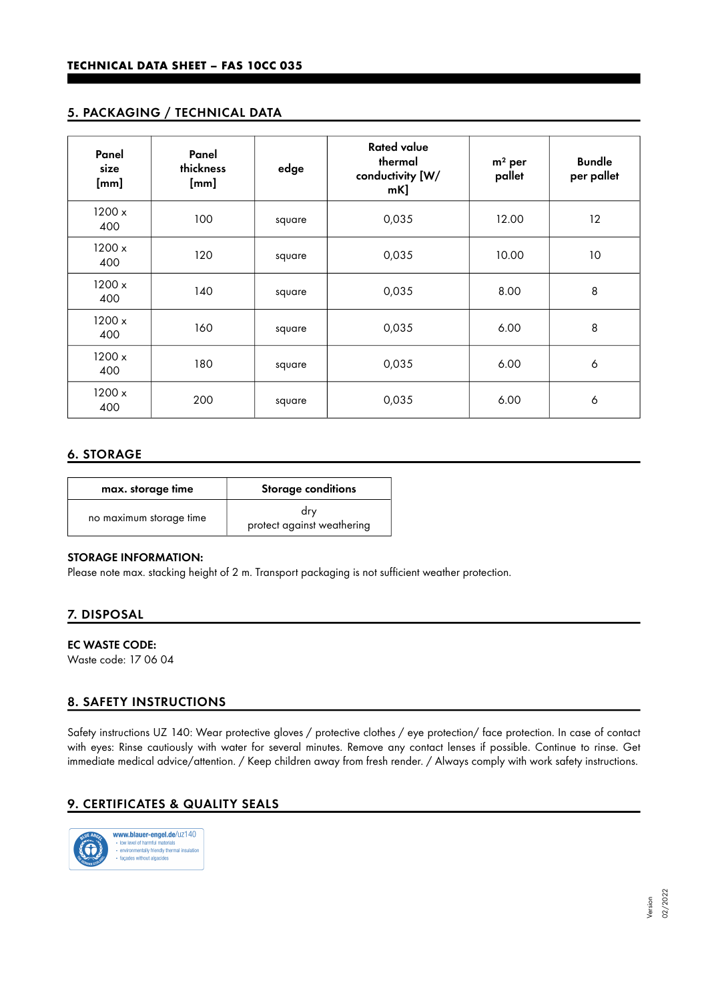| Panel<br>size<br>[mm] | Panel<br>thickness<br>[mm] | edge   | <b>Rated value</b><br>thermal<br>conductivity [W/<br>mK] | $m2$ per<br>pallet | <b>Bundle</b><br>per pallet |
|-----------------------|----------------------------|--------|----------------------------------------------------------|--------------------|-----------------------------|
| 1200 x<br>400         | 100                        | square | 0,035                                                    | 12.00              | 12                          |
| 1200x<br>400          | 120                        | square | 0,035                                                    | 10.00              | 10                          |
| 1200 x<br>400         | 140                        | square | 0,035                                                    | 8.00               | 8                           |
| 1200 x<br>400         | 160                        | square | 0,035                                                    | 6.00               | 8                           |
| 1200 x<br>400         | 180                        | square | 0,035                                                    | 6.00               | 6                           |
| 1200 x<br>400         | 200                        | square | 0,035                                                    | 6.00               | 6                           |

## 5. PACKAGING / TECHNICAL DATA

## 6. STORAGE

| max. storage time       | Storage conditions                |  |  |
|-------------------------|-----------------------------------|--|--|
| no maximum storage time | dry<br>protect against weathering |  |  |

#### STORAGE INFORMATION:

Please note max. stacking height of 2 m. Transport packaging is not sufficient weather protection.

## 7. DISPOSAL

#### EC WASTE CODE:

Waste code: 17 06 04

## 8. SAFETY INSTRUCTIONS

Safety instructions UZ 140: Wear protective gloves / protective clothes / eye protection/ face protection. In case of contact with eyes: Rinse cautiously with water for several minutes. Remove any contact lenses if possible. Continue to rinse. Get immediate medical advice/attention. / Keep children away from fresh render. / Always comply with work safety instructions.

# 9. CERTIFICATES & QUALITY SEALS